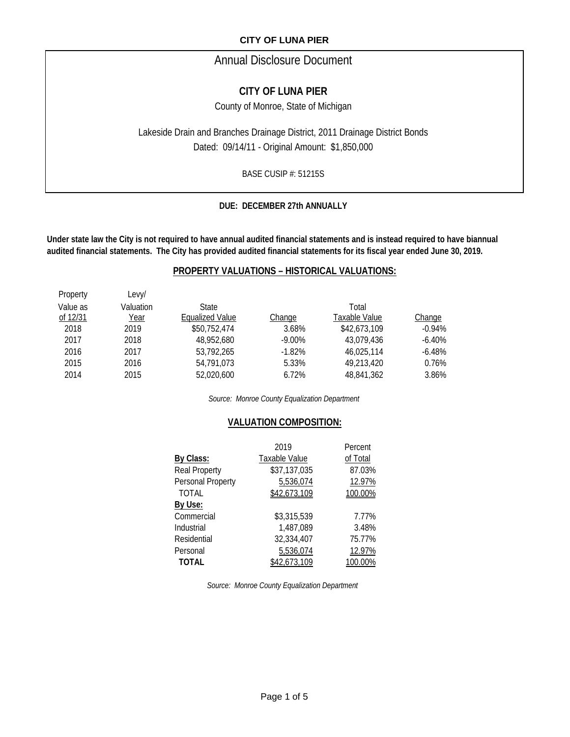# Annual Disclosure Document

# **CITY OF LUNA PIER**

County of Monroe, State of Michigan

Lakeside Drain and Branches Drainage District, 2011 Drainage District Bonds Dated: 09/14/11 - Original Amount: \$1,850,000

BASE CUSIP #: 51215S

### **DUE: DECEMBER 27th ANNUALLY**

**Under state law the City is not required to have annual audited financial statements and is instead required to have biannual audited financial statements. The City has provided audited financial statements for its fiscal year ended June 30, 2019.**

### **PROPERTY VALUATIONS – HISTORICAL VALUATIONS:**

| Property | Levy/     |                 |           |               |          |
|----------|-----------|-----------------|-----------|---------------|----------|
| Value as | Valuation | <b>State</b>    |           | Total         |          |
| of 12/31 | Year      | Equalized Value | Change    | Taxable Value | Change   |
| 2018     | 2019      | \$50,752,474    | 3.68%     | \$42,673,109  | $-0.94%$ |
| 2017     | 2018      | 48.952.680      | $-9.00\%$ | 43.079.436    | $-6.40%$ |
| 2016     | 2017      | 53,792,265      | $-1.82%$  | 46.025.114    | $-6.48%$ |
| 2015     | 2016      | 54.791.073      | 5.33%     | 49.213.420    | 0.76%    |
| 2014     | 2015      | 52.020.600      | 6.72%     | 48.841.362    | 3.86%    |
|          |           |                 |           |               |          |

*Source: Monroe County Equalization Department*

### **VALUATION COMPOSITION:**

|                      | 2019          | Percent  |
|----------------------|---------------|----------|
| By Class:            | Taxable Value | of Total |
| <b>Real Property</b> | \$37,137,035  | 87.03%   |
| Personal Property    | 5,536,074     | 12.97%   |
| <b>TOTAL</b>         | \$42,673,109  | 100.00%  |
| By Use:              |               |          |
| Commercial           | \$3,315,539   | 7.77%    |
| Industrial           | 1,487,089     | 3.48%    |
| Residential          | 32,334,407    | 75.77%   |
| Personal             | 5,536,074     | 12.97%   |
| <b>TOTAL</b>         | \$42,673,109  | 100.00%  |

*Source: Monroe County Equalization Department*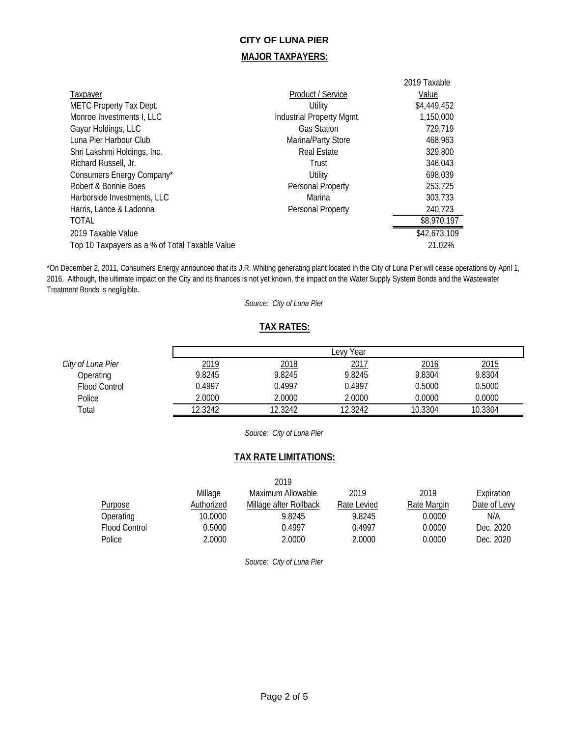### **MAJOR TAXPAYERS:**

| Taxpayer<br>METC Property Tax Dept.<br>Monroe Investments I, LLC<br>Gayar Holdings, LLC<br>Luna Pier Harbour Club | Product / Service<br>Utility<br>Industrial Property Mgmt.<br><b>Gas Station</b><br>Marina/Party Store | 2019 Taxable<br>Value<br>\$4,449,452<br>1,150,000<br>729,719<br>468.963 |
|-------------------------------------------------------------------------------------------------------------------|-------------------------------------------------------------------------------------------------------|-------------------------------------------------------------------------|
| Shri Lakshmi Holdings, Inc.                                                                                       | <b>Real Estate</b>                                                                                    | 329,800                                                                 |
| Richard Russell, Jr.                                                                                              | Trust                                                                                                 | 346.043                                                                 |
| Consumers Energy Company*                                                                                         | Utility                                                                                               | 698.039                                                                 |
| Robert & Bonnie Boes                                                                                              | Personal Property                                                                                     | 253,725                                                                 |
| Harborside Investments, LLC                                                                                       | Marina                                                                                                | 303.733                                                                 |
| Harris, Lance & Ladonna                                                                                           | Personal Property                                                                                     | 240,723                                                                 |
| <b>TOTAL</b>                                                                                                      |                                                                                                       | \$8,970,197                                                             |
| 2019 Taxable Value<br>Top 10 Taxpayers as a % of Total Taxable Value                                              |                                                                                                       | \$42,673,109<br>21.02%                                                  |

\*On December 2, 2011, Consumers Energy announced that its J.R. Whiting generating plant located in the City of Luna Pier will cease operations by April 1, 2016. Although, the ultimate impact on the City and its finances is not yet known, the impact on the Water Supply System Bonds and the Wastewater Treatment Bonds is negligible.

*Source: City of Luna Pier*

### **TAX RATES:**

|                      |         |         | Year<br><b>Levy</b> |         |         |
|----------------------|---------|---------|---------------------|---------|---------|
| City of Luna Pier    | 2019    | 2018    | 2017                | 2016    | 2015    |
| Operating            | 9.8245  | 9.8245  | 9.8245              | 9.8304  | 9.8304  |
| <b>Flood Control</b> | 0.4997  | 0.4997  | 0.4997              | 0.5000  | 0.5000  |
| Police               | 2.0000  | 2.0000  | 2.0000              | 0.0000  | 0.0000  |
| Total                | 12.3242 | 12.3242 | 12.3242             | 10.3304 | 10.3304 |

*Source: City of Luna Pier*

### **TAX RATE LIMITATIONS:**

|                |            | 2019                   |             |             |              |
|----------------|------------|------------------------|-------------|-------------|--------------|
|                | Millage    | Maximum Allowable      | 2019        | 2019        | Expiration   |
| <b>Purpose</b> | Authorized | Millage after Rollback | Rate Levied | Rate Margin | Date of Levy |
| Operating      | 10.0000    | 9.8245                 | 9.8245      | 0.0000      | N/A          |
| Flood Control  | 0.5000     | 0.4997                 | 0.4997      | 0.0000      | Dec. 2020    |
| Police         | 2.0000     | 2.0000                 | 2.0000      | 0.0000      | Dec. 2020    |

*Source: City of Luna Pier*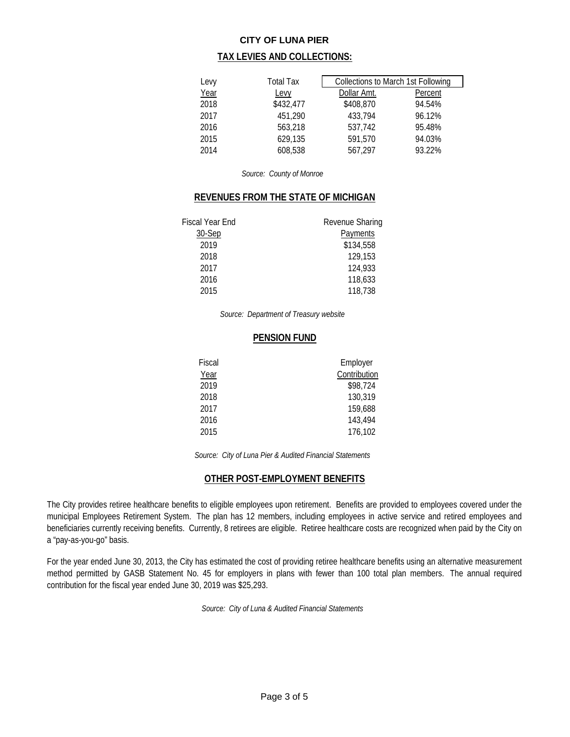### **TAX LEVIES AND COLLECTIONS:**

| Levy | Total Tax | Collections to March 1st Following |         |
|------|-----------|------------------------------------|---------|
| Year | Levy      | Dollar Amt.                        | Percent |
| 2018 | \$432,477 | \$408,870                          | 94.54%  |
| 2017 | 451.290   | 433,794                            | 96.12%  |
| 2016 | 563,218   | 537.742                            | 95.48%  |
| 2015 | 629,135   | 591,570                            | 94.03%  |
| 2014 | 608,538   | 567.297                            | 93.22%  |

*Source: County of Monroe*

### **REVENUES FROM THE STATE OF MICHIGAN**

| <b>Fiscal Year End</b> | Revenue Sharing |
|------------------------|-----------------|
| 30-Sep                 | Payments        |
| 2019                   | \$134,558       |
| 2018                   | 129,153         |
| 2017                   | 124,933         |
| 2016                   | 118,633         |
| 2015                   | 118,738         |

*Source: Department of Treasury website*

#### **PENSION FUND**

| Employer     |
|--------------|
| Contribution |
| \$98,724     |
| 130,319      |
| 159,688      |
| 143,494      |
| 176,102      |
|              |

*Source: City of Luna Pier & Audited Financial Statements*

# **OTHER POST-EMPLOYMENT BENEFITS**

The City provides retiree healthcare benefits to eligible employees upon retirement. Benefits are provided to employees covered under the municipal Employees Retirement System. The plan has 12 members, including employees in active service and retired employees and beneficiaries currently receiving benefits. Currently, 8 retirees are eligible. Retiree healthcare costs are recognized when paid by the City on a "pay-as-you-go" basis.

For the year ended June 30, 2013, the City has estimated the cost of providing retiree healthcare benefits using an alternative measurement method permitted by GASB Statement No. 45 for employers in plans with fewer than 100 total plan members. The annual required contribution for the fiscal year ended June 30, 2019 was \$25,293.

*Source: City of Luna & Audited Financial Statements*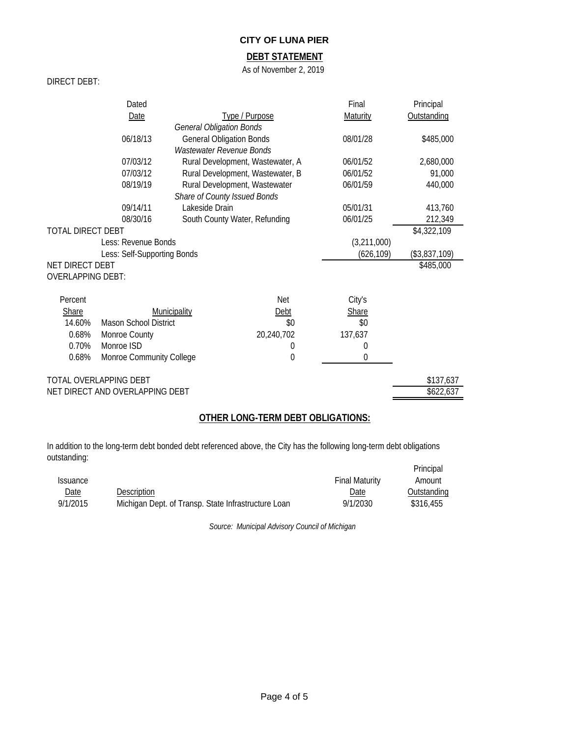### **DEBT STATEMENT**

As of November 2, 2019

#### DIRECT DEBT:

|                             | Dated                           |                                 |                                  | Final         | Principal   |
|-----------------------------|---------------------------------|---------------------------------|----------------------------------|---------------|-------------|
|                             | Date                            |                                 | Type / Purpose                   | Maturity      | Outstanding |
|                             |                                 | <b>General Obligation Bonds</b> |                                  |               |             |
|                             | 06/18/13                        | <b>General Obligation Bonds</b> |                                  | 08/01/28      | \$485,000   |
|                             |                                 | <b>Wastewater Revenue Bonds</b> |                                  |               |             |
|                             | 07/03/12                        |                                 | Rural Development, Wastewater, A | 06/01/52      | 2,680,000   |
|                             | 07/03/12                        |                                 | Rural Development, Wastewater, B | 06/01/52      | 91,000      |
|                             | 08/19/19                        |                                 | Rural Development, Wastewater    | 06/01/59      | 440,000     |
|                             |                                 | Share of County Issued Bonds    |                                  |               |             |
|                             | 09/14/11                        | Lakeside Drain                  |                                  | 05/01/31      | 413,760     |
|                             | 08/30/16                        |                                 | South County Water, Refunding    | 06/01/25      | 212,349     |
| <b>TOTAL DIRECT DEBT</b>    |                                 |                                 |                                  |               | \$4,322,109 |
| Less: Revenue Bonds         |                                 |                                 | (3,211,000)                      |               |             |
| Less: Self-Supporting Bonds |                                 |                                 | (626, 109)                       | (\$3,837,109) |             |
| NET DIRECT DEBT             |                                 |                                 |                                  |               | \$485,000   |
| <b>OVERLAPPING DEBT:</b>    |                                 |                                 |                                  |               |             |
| Percent                     |                                 |                                 | Net                              | City's        |             |
| <b>Share</b>                |                                 | Municipality                    | Debt                             | Share         |             |
| 14.60%                      | <b>Mason School District</b>    |                                 | \$0                              | \$0           |             |
| 0.68%                       | Monroe County                   |                                 | 20,240,702                       | 137,637       |             |
| 0.70%                       | Monroe ISD                      |                                 | 0                                | 0             |             |
| 0.68%                       | Monroe Community College        |                                 | 0                                | 0             |             |
|                             | TOTAL OVERLAPPING DEBT          |                                 |                                  |               | \$137,637   |
|                             | NET DIRECT AND OVERLAPPING DEBT |                                 |                                  |               | \$622,637   |

# **OTHER LONG-TERM DEBT OBLIGATIONS:**

In addition to the long-term debt bonded debt referenced above, the City has the following long-term debt obligations outstanding: Principal

|                        |                                                     |                       | Principal   |
|------------------------|-----------------------------------------------------|-----------------------|-------------|
| <i><b>ISSUANCE</b></i> |                                                     | <b>Final Maturity</b> | Amount      |
| Date                   | Description                                         | Date                  | Outstanding |
| 9/1/2015               | Michigan Dept. of Transp. State Infrastructure Loan | 9/1/2030              | \$316.455   |

*Source: Municipal Advisory Council of Michigan*